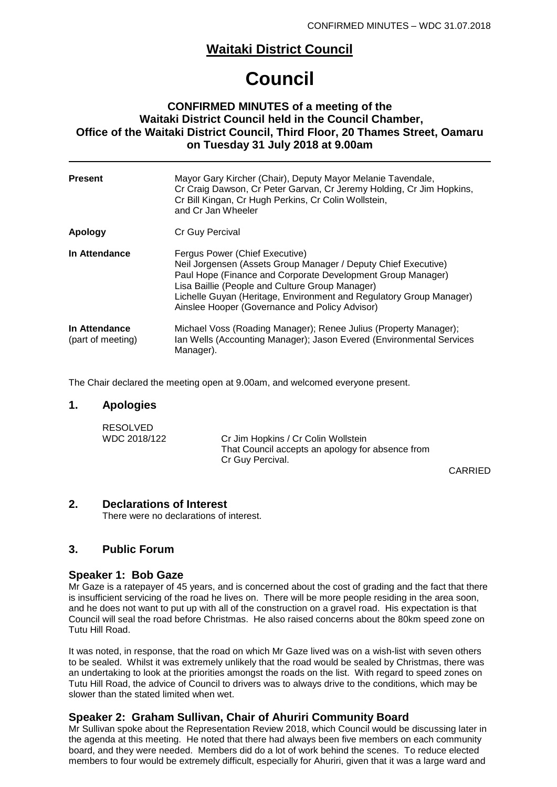# **Waitaki District Council**

# **Council**

### **CONFIRMED MINUTES of a meeting of the Waitaki District Council held in the Council Chamber, Office of the Waitaki District Council, Third Floor, 20 Thames Street, Oamaru on Tuesday 31 July 2018 at 9.00am**

| <b>Present</b>                     | Mayor Gary Kircher (Chair), Deputy Mayor Melanie Tavendale,<br>Cr Craig Dawson, Cr Peter Garvan, Cr Jeremy Holding, Cr Jim Hopkins,<br>Cr Bill Kingan, Cr Hugh Perkins, Cr Colin Wollstein,<br>and Cr Jan Wheeler                                                                                                                           |
|------------------------------------|---------------------------------------------------------------------------------------------------------------------------------------------------------------------------------------------------------------------------------------------------------------------------------------------------------------------------------------------|
| Apology                            | Cr Guy Percival                                                                                                                                                                                                                                                                                                                             |
| In Attendance                      | Fergus Power (Chief Executive)<br>Neil Jorgensen (Assets Group Manager / Deputy Chief Executive)<br>Paul Hope (Finance and Corporate Development Group Manager)<br>Lisa Baillie (People and Culture Group Manager)<br>Lichelle Guyan (Heritage, Environment and Regulatory Group Manager)<br>Ainslee Hooper (Governance and Policy Advisor) |
| In Attendance<br>(part of meeting) | Michael Voss (Roading Manager); Renee Julius (Property Manager);<br>Ian Wells (Accounting Manager); Jason Evered (Environmental Services<br>Manager).                                                                                                                                                                                       |

The Chair declared the meeting open at 9.00am, and welcomed everyone present.

### **1. Apologies**

| <b>RESOLVED</b> |                                                  |
|-----------------|--------------------------------------------------|
| WDC 2018/122    | Cr Jim Hopkins / Cr Colin Wollstein              |
|                 | That Council accepts an apology for absence from |
|                 | Cr Guy Percival.                                 |

CARRIED

#### **2. Declarations of Interest**

There were no declarations of interest.

### **3. Public Forum**

#### **Speaker 1: Bob Gaze**

Mr Gaze is a ratepayer of 45 years, and is concerned about the cost of grading and the fact that there is insufficient servicing of the road he lives on. There will be more people residing in the area soon, and he does not want to put up with all of the construction on a gravel road. His expectation is that Council will seal the road before Christmas. He also raised concerns about the 80km speed zone on Tutu Hill Road.

It was noted, in response, that the road on which Mr Gaze lived was on a wish-list with seven others to be sealed. Whilst it was extremely unlikely that the road would be sealed by Christmas, there was an undertaking to look at the priorities amongst the roads on the list. With regard to speed zones on Tutu Hill Road, the advice of Council to drivers was to always drive to the conditions, which may be slower than the stated limited when wet.

### **Speaker 2: Graham Sullivan, Chair of Ahuriri Community Board**

Mr Sullivan spoke about the Representation Review 2018, which Council would be discussing later in the agenda at this meeting. He noted that there had always been five members on each community board, and they were needed. Members did do a lot of work behind the scenes. To reduce elected members to four would be extremely difficult, especially for Ahuriri, given that it was a large ward and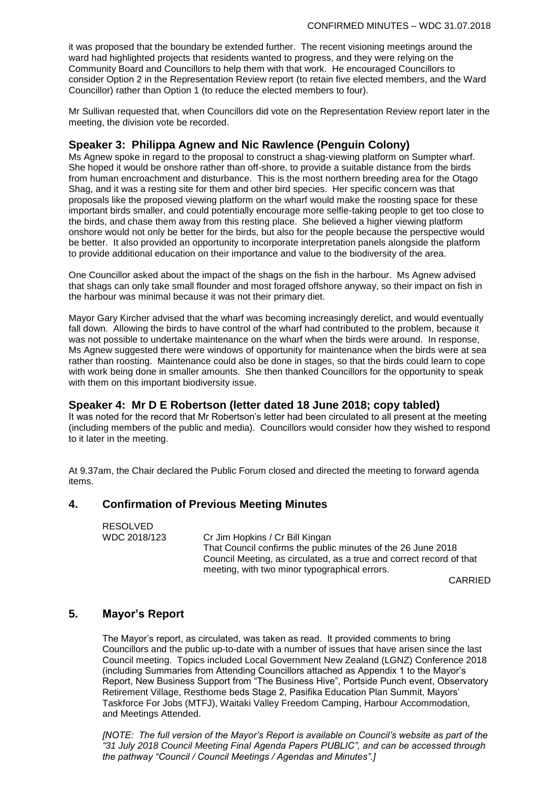it was proposed that the boundary be extended further. The recent visioning meetings around the ward had highlighted projects that residents wanted to progress, and they were relying on the Community Board and Councillors to help them with that work. He encouraged Councillors to consider Option 2 in the Representation Review report (to retain five elected members, and the Ward Councillor) rather than Option 1 (to reduce the elected members to four).

Mr Sullivan requested that, when Councillors did vote on the Representation Review report later in the meeting, the division vote be recorded.

### **Speaker 3: Philippa Agnew and Nic Rawlence (Penguin Colony)**

Ms Agnew spoke in regard to the proposal to construct a shag-viewing platform on Sumpter wharf. She hoped it would be onshore rather than off-shore, to provide a suitable distance from the birds from human encroachment and disturbance. This is the most northern breeding area for the Otago Shag, and it was a resting site for them and other bird species. Her specific concern was that proposals like the proposed viewing platform on the wharf would make the roosting space for these important birds smaller, and could potentially encourage more selfie-taking people to get too close to the birds, and chase them away from this resting place. She believed a higher viewing platform onshore would not only be better for the birds, but also for the people because the perspective would be better. It also provided an opportunity to incorporate interpretation panels alongside the platform to provide additional education on their importance and value to the biodiversity of the area.

One Councillor asked about the impact of the shags on the fish in the harbour. Ms Agnew advised that shags can only take small flounder and most foraged offshore anyway, so their impact on fish in the harbour was minimal because it was not their primary diet.

Mayor Gary Kircher advised that the wharf was becoming increasingly derelict, and would eventually fall down. Allowing the birds to have control of the wharf had contributed to the problem, because it was not possible to undertake maintenance on the wharf when the birds were around. In response, Ms Agnew suggested there were windows of opportunity for maintenance when the birds were at sea rather than roosting. Maintenance could also be done in stages, so that the birds could learn to cope with work being done in smaller amounts. She then thanked Councillors for the opportunity to speak with them on this important biodiversity issue.

### **Speaker 4: Mr D E Robertson (letter dated 18 June 2018; copy tabled)**

It was noted for the record that Mr Robertson's letter had been circulated to all present at the meeting (including members of the public and media). Councillors would consider how they wished to respond to it later in the meeting.

At 9.37am, the Chair declared the Public Forum closed and directed the meeting to forward agenda items.

### **4. Confirmation of Previous Meeting Minutes**

RESOLVED<br>WDC 2018/123

Cr Jim Hopkins / Cr Bill Kingan That Council confirms the public minutes of the 26 June 2018 Council Meeting, as circulated, as a true and correct record of that meeting, with two minor typographical errors.

CARRIED

### **5. Mayor's Report**

The Mayor's report, as circulated, was taken as read. It provided comments to bring Councillors and the public up-to-date with a number of issues that have arisen since the last Council meeting. Topics included Local Government New Zealand (LGNZ) Conference 2018 (including Summaries from Attending Councillors attached as Appendix 1 to the Mayor's Report, New Business Support from "The Business Hive", Portside Punch event, Observatory Retirement Village, Resthome beds Stage 2, Pasifika Education Plan Summit, Mayors' Taskforce For Jobs (MTFJ), Waitaki Valley Freedom Camping, Harbour Accommodation, and Meetings Attended.

*[NOTE: The full version of the Mayor's Report is available on Council's website as part of the "31 July 2018 Council Meeting Final Agenda Papers PUBLIC", and can be accessed through the pathway "Council / Council Meetings / Agendas and Minutes".]*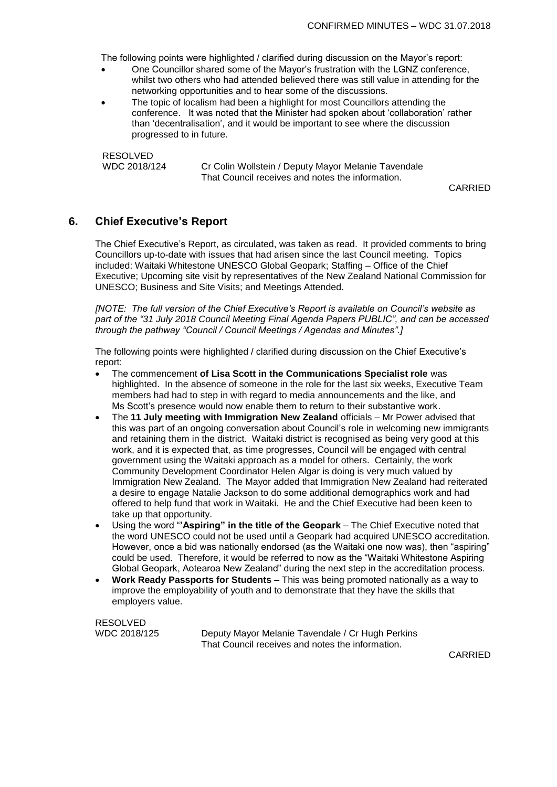The following points were highlighted / clarified during discussion on the Mayor's report:

- One Councillor shared some of the Mayor's frustration with the LGNZ conference, whilst two others who had attended believed there was still value in attending for the networking opportunities and to hear some of the discussions.
- The topic of localism had been a highlight for most Councillors attending the conference. It was noted that the Minister had spoken about 'collaboration' rather than 'decentralisation', and it would be important to see where the discussion progressed to in future.

RESOLVED WDC 2018/124 Cr Colin Wollstein / Deputy Mayor Melanie Tavendale That Council receives and notes the information.

CARRIED

### **6. Chief Executive's Report**

The Chief Executive's Report, as circulated, was taken as read. It provided comments to bring Councillors up-to-date with issues that had arisen since the last Council meeting. Topics included: Waitaki Whitestone UNESCO Global Geopark; Staffing – Office of the Chief Executive; Upcoming site visit by representatives of the New Zealand National Commission for UNESCO; Business and Site Visits; and Meetings Attended.

*[NOTE: The full version of the Chief Executive's Report is available on Council's website as part of the "31 July 2018 Council Meeting Final Agenda Papers PUBLIC", and can be accessed through the pathway "Council / Council Meetings / Agendas and Minutes".]*

The following points were highlighted / clarified during discussion on the Chief Executive's report:

- The commencement **of Lisa Scott in the Communications Specialist role** was highlighted. In the absence of someone in the role for the last six weeks, Executive Team members had had to step in with regard to media announcements and the like, and Ms Scott's presence would now enable them to return to their substantive work.
- The **11 July meeting with Immigration New Zealand** officials Mr Power advised that this was part of an ongoing conversation about Council's role in welcoming new immigrants and retaining them in the district. Waitaki district is recognised as being very good at this work, and it is expected that, as time progresses, Council will be engaged with central government using the Waitaki approach as a model for others. Certainly, the work Community Development Coordinator Helen Algar is doing is very much valued by Immigration New Zealand. The Mayor added that Immigration New Zealand had reiterated a desire to engage Natalie Jackson to do some additional demographics work and had offered to help fund that work in Waitaki. He and the Chief Executive had been keen to take up that opportunity.
- Using the word "**'Aspiring" in the title of the Geopark** The Chief Executive noted that the word UNESCO could not be used until a Geopark had acquired UNESCO accreditation. However, once a bid was nationally endorsed (as the Waitaki one now was), then "aspiring" could be used. Therefore, it would be referred to now as the "Waitaki Whitestone Aspiring Global Geopark, Aotearoa New Zealand" during the next step in the accreditation process.
- **Work Ready Passports for Students** This was being promoted nationally as a way to improve the employability of youth and to demonstrate that they have the skills that employers value.

RESOLVED

WDC 2018/125 Deputy Mayor Melanie Tavendale / Cr Hugh Perkins That Council receives and notes the information.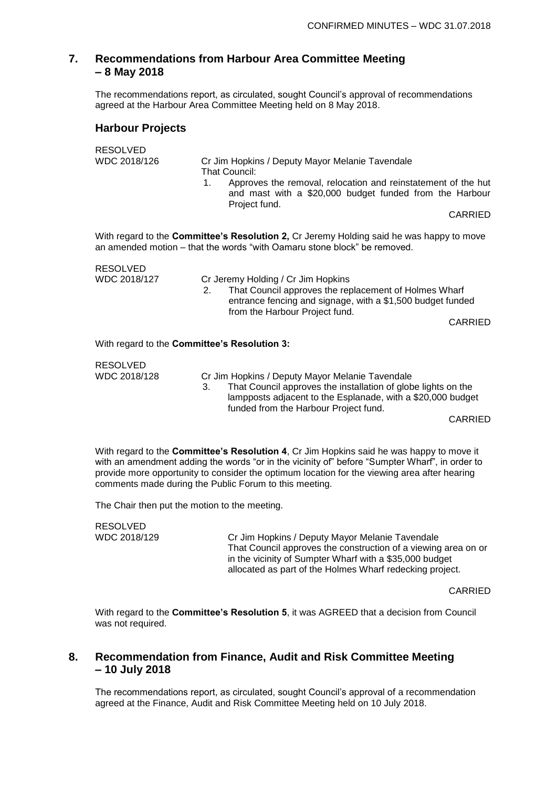### **7. Recommendations from Harbour Area Committee Meeting – 8 May 2018**

The recommendations report, as circulated, sought Council's approval of recommendations agreed at the Harbour Area Committee Meeting held on 8 May 2018.

### **Harbour Projects**

| <b>RESOLVED</b><br>WDC 2018/126              | Cr Jim Hopkins / Deputy Mayor Melanie Tavendale<br>That Council:<br>Approves the removal, relocation and reinstatement of the hut<br>1.<br>and mast with a \$20,000 budget funded from the Harbour<br>Project fund.<br>CARRIED |  |
|----------------------------------------------|--------------------------------------------------------------------------------------------------------------------------------------------------------------------------------------------------------------------------------|--|
|                                              | With regard to the <b>Committee's Resolution 2,</b> Cr Jeremy Holding said he was happy to move<br>an amended motion – that the words "with Oamaru stone block" be removed.                                                    |  |
| <b>RESOLVED</b><br>WDC 2018/127              | Cr Jeremy Holding / Cr Jim Hopkins<br>That Council approves the replacement of Holmes Wharf<br>2.<br>entrance fencing and signage, with a \$1,500 budget funded<br>from the Harbour Project fund.<br><b>CARRIED</b>            |  |
| With regard to the Committee's Resolution 3: |                                                                                                                                                                                                                                |  |
| <b>RESOLVED</b>                              |                                                                                                                                                                                                                                |  |

WDC 2018/128 Cr Jim Hopkins / Deputy Mayor Melanie Tavendale 3. That Council approves the installation of globe lights on the lampposts adjacent to the Esplanade, with a \$20,000 budget funded from the Harbour Project fund.

CARRIED

With regard to the **Committee's Resolution 4**, Cr Jim Hopkins said he was happy to move it with an amendment adding the words "or in the vicinity of" before "Sumpter Wharf", in order to provide more opportunity to consider the optimum location for the viewing area after hearing comments made during the Public Forum to this meeting.

The Chair then put the motion to the meeting.

| RESOLVED     |                                                                |
|--------------|----------------------------------------------------------------|
| WDC 2018/129 | Cr Jim Hopkins / Deputy Mayor Melanie Tavendale                |
|              | That Council approves the construction of a viewing area on or |
|              | in the vicinity of Sumpter Wharf with a \$35,000 budget        |
|              | allocated as part of the Holmes Wharf redecking project.       |

CARRIED

With regard to the **Committee's Resolution 5**, it was AGREED that a decision from Council was not required.

### **8. Recommendation from Finance, Audit and Risk Committee Meeting – 10 July 2018**

The recommendations report, as circulated, sought Council's approval of a recommendation agreed at the Finance, Audit and Risk Committee Meeting held on 10 July 2018.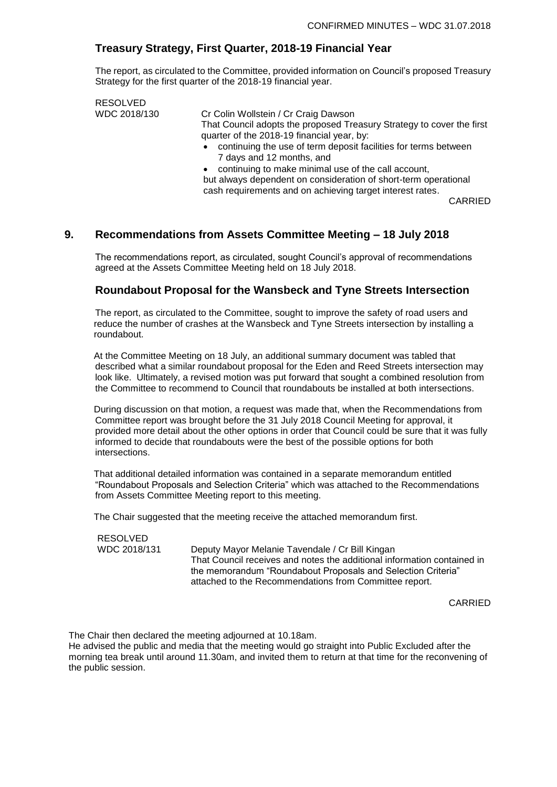### **Treasury Strategy, First Quarter, 2018-19 Financial Year**

The report, as circulated to the Committee, provided information on Council's proposed Treasury Strategy for the first quarter of the 2018-19 financial year.

RESOLVED WDC 2018/130 Cr Colin Wollstein / Cr Craig Dawson That Council adopts the proposed Treasury Strategy to cover the first quarter of the 2018-19 financial year, by:

• continuing the use of term deposit facilities for terms between 7 days and 12 months, and

• continuing to make minimal use of the call account, but always dependent on consideration of short-term operational cash requirements and on achieving target interest rates.

CARRIED

### **9. Recommendations from Assets Committee Meeting – 18 July 2018**

The recommendations report, as circulated, sought Council's approval of recommendations agreed at the Assets Committee Meeting held on 18 July 2018.

### **Roundabout Proposal for the Wansbeck and Tyne Streets Intersection**

The report, as circulated to the Committee, sought to improve the safety of road users and reduce the number of crashes at the Wansbeck and Tyne Streets intersection by installing a roundabout.

At the Committee Meeting on 18 July, an additional summary document was tabled that described what a similar roundabout proposal for the Eden and Reed Streets intersection may look like. Ultimately, a revised motion was put forward that sought a combined resolution from the Committee to recommend to Council that roundabouts be installed at both intersections.

During discussion on that motion, a request was made that, when the Recommendations from Committee report was brought before the 31 July 2018 Council Meeting for approval, it provided more detail about the other options in order that Council could be sure that it was fully informed to decide that roundabouts were the best of the possible options for both intersections.

That additional detailed information was contained in a separate memorandum entitled "Roundabout Proposals and Selection Criteria" which was attached to the Recommendations from Assets Committee Meeting report to this meeting.

The Chair suggested that the meeting receive the attached memorandum first.

RESOLVED

WDC 2018/131 Deputy Mayor Melanie Tavendale / Cr Bill Kingan That Council receives and notes the additional information contained in the memorandum "Roundabout Proposals and Selection Criteria" attached to the Recommendations from Committee report.

CARRIED

The Chair then declared the meeting adjourned at 10.18am.

He advised the public and media that the meeting would go straight into Public Excluded after the morning tea break until around 11.30am, and invited them to return at that time for the reconvening of the public session.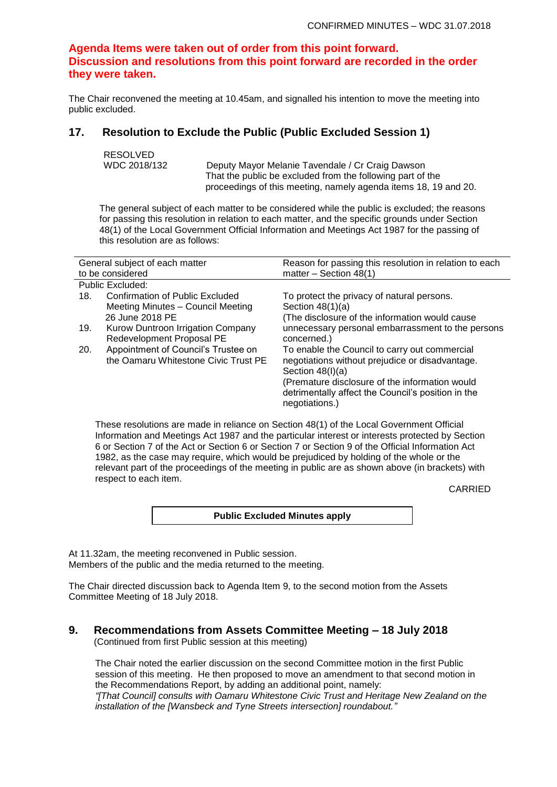### **Agenda Items were taken out of order from this point forward. Discussion and resolutions from this point forward are recorded in the order they were taken.**

The Chair reconvened the meeting at 10.45am, and signalled his intention to move the meeting into public excluded.

### **17. Resolution to Exclude the Public (Public Excluded Session 1)**

```
RESOLVED
```
WDC 2018/132 Deputy Mayor Melanie Tavendale / Cr Craig Dawson That the public be excluded from the following part of the proceedings of this meeting, namely agenda items 18, 19 and 20.

The general subject of each matter to be considered while the public is excluded; the reasons for passing this resolution in relation to each matter, and the specific grounds under Section 48(1) of the Local Government Official Information and Meetings Act 1987 for the passing of this resolution are as follows:

| General subject of each matter<br>to be considered |                                                                                         | Reason for passing this resolution in relation to each<br>matter $-$ Section 48(1)                                                                                                                                                               |  |
|----------------------------------------------------|-----------------------------------------------------------------------------------------|--------------------------------------------------------------------------------------------------------------------------------------------------------------------------------------------------------------------------------------------------|--|
|                                                    | Public Excluded:                                                                        |                                                                                                                                                                                                                                                  |  |
| 18.                                                | Confirmation of Public Excluded<br>Meeting Minutes - Council Meeting<br>26 June 2018 PE | To protect the privacy of natural persons.<br>Section $48(1)(a)$<br>(The disclosure of the information would cause                                                                                                                               |  |
| 19.                                                | Kurow Duntroon Irrigation Company<br>Redevelopment Proposal PE                          | unnecessary personal embarrassment to the persons<br>concerned.)                                                                                                                                                                                 |  |
| 20.                                                | Appointment of Council's Trustee on<br>the Oamaru Whitestone Civic Trust PE             | To enable the Council to carry out commercial<br>negotiations without prejudice or disadvantage.<br>Section $48(l)(a)$<br>(Premature disclosure of the information would<br>detrimentally affect the Council's position in the<br>negotiations.) |  |

These resolutions are made in reliance on Section 48(1) of the Local Government Official Information and Meetings Act 1987 and the particular interest or interests protected by Section 6 or Section 7 of the Act or Section 6 or Section 7 or Section 9 of the Official Information Act 1982, as the case may require, which would be prejudiced by holding of the whole or the relevant part of the proceedings of the meeting in public are as shown above (in brackets) with respect to each item.

CARRIED

**Public Excluded Minutes apply**

At 11.32am, the meeting reconvened in Public session. Members of the public and the media returned to the meeting.

The Chair directed discussion back to Agenda Item 9, to the second motion from the Assets Committee Meeting of 18 July 2018.

#### **9. Recommendations from Assets Committee Meeting – 18 July 2018** (Continued from first Public session at this meeting)

The Chair noted the earlier discussion on the second Committee motion in the first Public session of this meeting. He then proposed to move an amendment to that second motion in the Recommendations Report, by adding an additional point, namely: *"[That Council] consults with Oamaru Whitestone Civic Trust and Heritage New Zealand on the installation of the [Wansbeck and Tyne Streets intersection] roundabout."*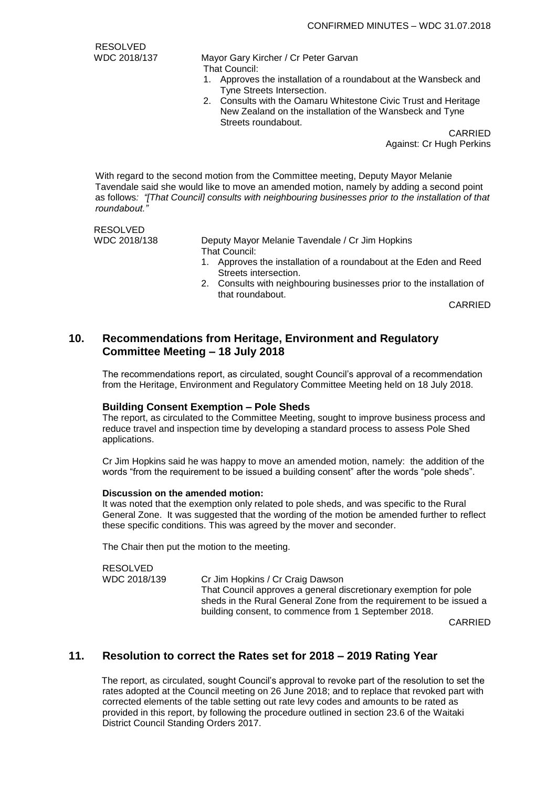RESOLVED

WDC 2018/137 Mayor Gary Kircher / Cr Peter Garvan

- That Council:
	- 1. Approves the installation of a roundabout at the Wansbeck and Tyne Streets Intersection.
	- 2. Consults with the Oamaru Whitestone Civic Trust and Heritage New Zealand on the installation of the Wansbeck and Tyne Streets roundabout.

CARRIED Against: Cr Hugh Perkins

With regard to the second motion from the Committee meeting, Deputy Mayor Melanie Tavendale said she would like to move an amended motion, namely by adding a second point as follows*: "[That Council] consults with neighbouring businesses prior to the installation of that roundabout."*

RESOLVED

WDC 2018/138 Deputy Mayor Melanie Tavendale / Cr Jim Hopkins That Council:

- 1. Approves the installation of a roundabout at the Eden and Reed Streets intersection.
- 2. Consults with neighbouring businesses prior to the installation of that roundabout.

CARRIED

### **10. Recommendations from Heritage, Environment and Regulatory Committee Meeting – 18 July 2018**

The recommendations report, as circulated, sought Council's approval of a recommendation from the Heritage, Environment and Regulatory Committee Meeting held on 18 July 2018.

### **Building Consent Exemption – Pole Sheds**

The report, as circulated to the Committee Meeting, sought to improve business process and reduce travel and inspection time by developing a standard process to assess Pole Shed applications.

Cr Jim Hopkins said he was happy to move an amended motion, namely: the addition of the words "from the requirement to be issued a building consent" after the words "pole sheds".

#### **Discussion on the amended motion:**

It was noted that the exemption only related to pole sheds, and was specific to the Rural General Zone. It was suggested that the wording of the motion be amended further to reflect these specific conditions. This was agreed by the mover and seconder.

The Chair then put the motion to the meeting.

RESOLVED

WDC 2018/139 Cr Jim Hopkins / Cr Craig Dawson

That Council approves a general discretionary exemption for pole sheds in the Rural General Zone from the requirement to be issued a building consent, to commence from 1 September 2018.

CARRIED

### **11. Resolution to correct the Rates set for 2018 – 2019 Rating Year**

The report, as circulated, sought Council's approval to revoke part of the resolution to set the rates adopted at the Council meeting on 26 June 2018; and to replace that revoked part with corrected elements of the table setting out rate levy codes and amounts to be rated as provided in this report, by following the procedure outlined in section 23.6 of the Waitaki District Council Standing Orders 2017.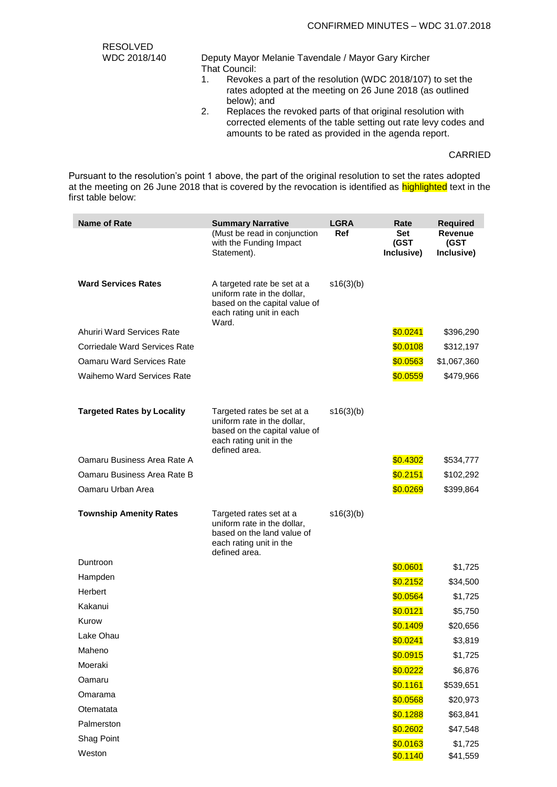| <b>RESOLVED</b> |                                                                                                                                        |  |  |
|-----------------|----------------------------------------------------------------------------------------------------------------------------------------|--|--|
| WDC 2018/140    | Deputy Mayor Melanie Tavendale / Mayor Gary Kircher                                                                                    |  |  |
|                 | That Council:                                                                                                                          |  |  |
|                 | Revokes a part of the resolution (WDC 2018/107) to set the<br>rates adopted at the meeting on 26 June 2018 (as outlined<br>below); and |  |  |
|                 | <b>Doplaces the revoked parts of that original resolution with</b>                                                                     |  |  |

2. Replaces the revoked parts of that original resolution with corrected elements of the table setting out rate levy codes and amounts to be rated as provided in the agenda report.

#### CARRIED

Pursuant to the resolution's point 1 above, the part of the original resolution to set the rates adopted at the meeting on 26 June 2018 that is covered by the revocation is identified as highlighted text in the first table below:

| <b>Name of Rate</b>               | <b>Summary Narrative</b>                                                                                                               | <b>LGRA</b> | Rate                      | <b>Required</b>                      |
|-----------------------------------|----------------------------------------------------------------------------------------------------------------------------------------|-------------|---------------------------|--------------------------------------|
|                                   | (Must be read in conjunction<br>with the Funding Impact<br>Statement).                                                                 | Ref         | Set<br>(GST<br>Inclusive) | <b>Revenue</b><br>(GST<br>Inclusive) |
| <b>Ward Services Rates</b>        | A targeted rate be set at a<br>uniform rate in the dollar,<br>based on the capital value of<br>each rating unit in each<br>Ward.       | s16(3)(b)   |                           |                                      |
| Ahuriri Ward Services Rate        |                                                                                                                                        |             | \$0.0241                  | \$396,290                            |
| Corriedale Ward Services Rate     |                                                                                                                                        |             | \$0.0108                  | \$312,197                            |
| <b>Oamaru Ward Services Rate</b>  |                                                                                                                                        |             | \$0.0563                  | \$1,067,360                          |
| <b>Waihemo Ward Services Rate</b> |                                                                                                                                        |             | \$0.0559                  | \$479,966                            |
| <b>Targeted Rates by Locality</b> | Targeted rates be set at a<br>uniform rate in the dollar,<br>based on the capital value of<br>each rating unit in the<br>defined area. | s16(3)(b)   |                           |                                      |
| Oamaru Business Area Rate A       |                                                                                                                                        |             | \$0.4302                  | \$534,777                            |
| Oamaru Business Area Rate B       |                                                                                                                                        |             | \$0.2151                  | \$102,292                            |
| Oamaru Urban Area                 |                                                                                                                                        |             | \$0.0269                  | \$399,864                            |
| <b>Township Amenity Rates</b>     | Targeted rates set at a<br>uniform rate in the dollar,<br>based on the land value of<br>each rating unit in the<br>defined area.       | s16(3)(b)   |                           |                                      |
| Duntroon                          |                                                                                                                                        |             | \$0.0601                  | \$1,725                              |
| Hampden                           |                                                                                                                                        |             | \$0.2152                  | \$34,500                             |
| Herbert                           |                                                                                                                                        |             | \$0.0564                  | \$1,725                              |
| Kakanui                           |                                                                                                                                        |             | \$0.0121                  | \$5,750                              |
| Kurow                             |                                                                                                                                        |             | \$0.1409                  | \$20,656                             |
| Lake Ohau                         |                                                                                                                                        |             | \$0.0241                  | \$3,819                              |
| Maheno                            |                                                                                                                                        |             | \$0.0915                  | \$1,725                              |
| Moeraki                           |                                                                                                                                        |             | \$0.0222                  | \$6,876                              |
| Oamaru                            |                                                                                                                                        |             | \$0.1161                  | \$539,651                            |
| Omarama                           |                                                                                                                                        |             | \$0.0568                  | \$20,973                             |
| Otematata                         |                                                                                                                                        |             | \$0.1288                  | \$63,841                             |
| Palmerston                        |                                                                                                                                        |             | \$0.2602                  | \$47,548                             |
| Shag Point                        |                                                                                                                                        |             | \$0.0163                  | \$1,725                              |
| Weston                            |                                                                                                                                        |             | \$0.1140                  | \$41,559                             |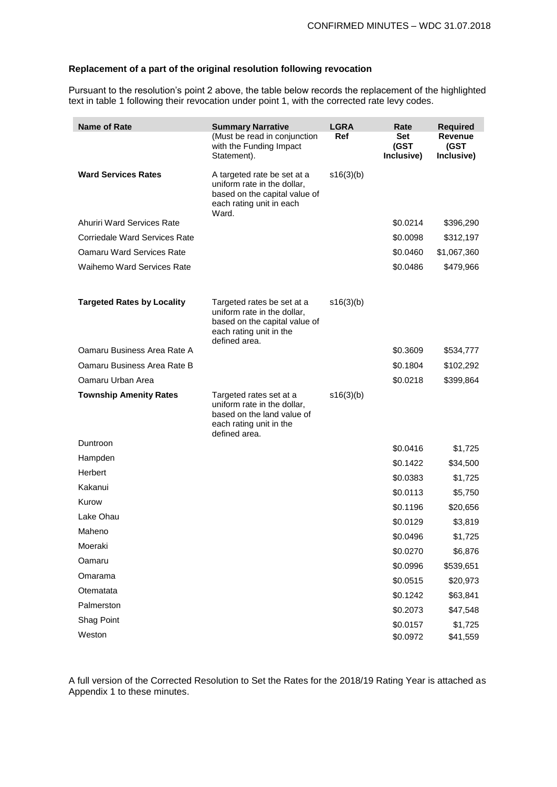### **Replacement of a part of the original resolution following revocation**

Pursuant to the resolution's point 2 above, the table below records the replacement of the highlighted text in table 1 following their revocation under point 1, with the corrected rate levy codes.

| <b>Name of Rate</b>                  | <b>Summary Narrative</b>                                                                                                               | <b>LGRA</b> | Rate                      | <b>Required</b>                      |
|--------------------------------------|----------------------------------------------------------------------------------------------------------------------------------------|-------------|---------------------------|--------------------------------------|
|                                      | (Must be read in conjunction<br>with the Funding Impact<br>Statement).                                                                 | Ref         | Set<br>(GST<br>Inclusive) | <b>Revenue</b><br>(GST<br>Inclusive) |
| <b>Ward Services Rates</b>           | A targeted rate be set at a<br>uniform rate in the dollar,<br>based on the capital value of<br>each rating unit in each<br>Ward.       | s16(3)(b)   |                           |                                      |
| <b>Ahuriri Ward Services Rate</b>    |                                                                                                                                        |             | \$0.0214                  | \$396,290                            |
| <b>Corriedale Ward Services Rate</b> |                                                                                                                                        |             | \$0.0098                  | \$312,197                            |
| Oamaru Ward Services Rate            |                                                                                                                                        |             | \$0.0460                  | \$1,067,360                          |
| <b>Waihemo Ward Services Rate</b>    |                                                                                                                                        |             | \$0.0486                  | \$479,966                            |
| <b>Targeted Rates by Locality</b>    | Targeted rates be set at a<br>uniform rate in the dollar,<br>based on the capital value of<br>each rating unit in the<br>defined area. | s16(3)(b)   |                           |                                      |
| Oamaru Business Area Rate A          |                                                                                                                                        |             | \$0.3609                  | \$534,777                            |
| Oamaru Business Area Rate B          |                                                                                                                                        |             | \$0.1804                  | \$102,292                            |
| Oamaru Urban Area                    |                                                                                                                                        |             | \$0.0218                  | \$399,864                            |
| <b>Township Amenity Rates</b>        | Targeted rates set at a<br>uniform rate in the dollar,<br>based on the land value of<br>each rating unit in the<br>defined area.       | s16(3)(b)   |                           |                                      |
| Duntroon                             |                                                                                                                                        |             | \$0.0416                  | \$1,725                              |
| Hampden                              |                                                                                                                                        |             | \$0.1422                  | \$34,500                             |
| Herbert                              |                                                                                                                                        |             | \$0.0383                  | \$1,725                              |
| Kakanui                              |                                                                                                                                        |             | \$0.0113                  | \$5,750                              |
| Kurow                                |                                                                                                                                        |             | \$0.1196                  | \$20,656                             |
| Lake Ohau                            |                                                                                                                                        |             | \$0.0129                  | \$3,819                              |
| Maheno                               |                                                                                                                                        |             | \$0.0496                  | \$1,725                              |
| Moeraki                              |                                                                                                                                        |             | \$0.0270                  | \$6,876                              |
| Oamaru                               |                                                                                                                                        |             | \$0.0996                  | \$539,651                            |
| Omarama                              |                                                                                                                                        |             | \$0.0515                  | \$20,973                             |
| Otematata                            |                                                                                                                                        |             | \$0.1242                  | \$63,841                             |
| Palmerston                           |                                                                                                                                        |             | \$0.2073                  | \$47,548                             |
| Shag Point                           |                                                                                                                                        |             | \$0.0157                  | \$1,725                              |
| Weston                               |                                                                                                                                        |             | \$0.0972                  | \$41,559                             |

A full version of the Corrected Resolution to Set the Rates for the 2018/19 Rating Year is attached as Appendix 1 to these minutes.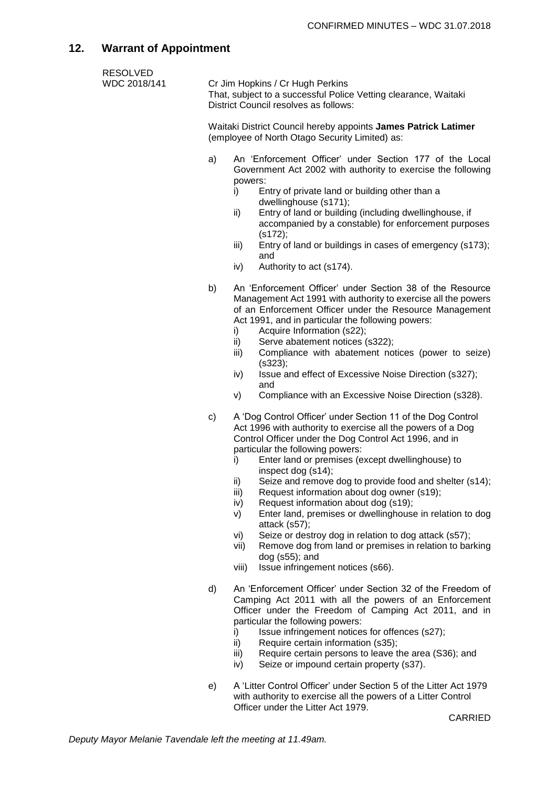# **12. Warrant of Appointment**

| <b>RESOLVED</b><br>WDC 2018/141 | Cr Jim Hopkins / Cr Hugh Perkins<br>That, subject to a successful Police Vetting clearance, Waitaki<br>District Council resolves as follows: |                                                                                                                                                                                                                                                                                                                                                                                                                                                                                                                                                                                                                                                                                                                                                                         |  |  |
|---------------------------------|----------------------------------------------------------------------------------------------------------------------------------------------|-------------------------------------------------------------------------------------------------------------------------------------------------------------------------------------------------------------------------------------------------------------------------------------------------------------------------------------------------------------------------------------------------------------------------------------------------------------------------------------------------------------------------------------------------------------------------------------------------------------------------------------------------------------------------------------------------------------------------------------------------------------------------|--|--|
|                                 | Waitaki District Council hereby appoints James Patrick Latimer<br>(employee of North Otago Security Limited) as:                             |                                                                                                                                                                                                                                                                                                                                                                                                                                                                                                                                                                                                                                                                                                                                                                         |  |  |
|                                 | a)                                                                                                                                           | An 'Enforcement Officer' under Section 177 of the Local<br>Government Act 2002 with authority to exercise the following<br>powers:<br>Entry of private land or building other than a<br>i)<br>dwellinghouse (s171);<br>Entry of land or building (including dwellinghouse, if<br>ii)<br>accompanied by a constable) for enforcement purposes<br>(s172);<br>Entry of land or buildings in cases of emergency (s173);<br>iii)<br>and<br>Authority to act (s174).<br>iv)                                                                                                                                                                                                                                                                                                   |  |  |
|                                 | b)                                                                                                                                           | An 'Enforcement Officer' under Section 38 of the Resource<br>Management Act 1991 with authority to exercise all the powers<br>of an Enforcement Officer under the Resource Management<br>Act 1991, and in particular the following powers:<br>Acquire Information (s22);<br>i)<br>Serve abatement notices (s322);<br>ii)<br>Compliance with abatement notices (power to seize)<br>iii)<br>(s323);<br>Issue and effect of Excessive Noise Direction (s327);<br>iv)<br>and<br>Compliance with an Excessive Noise Direction (s328).<br>V)                                                                                                                                                                                                                                  |  |  |
|                                 | c)                                                                                                                                           | A 'Dog Control Officer' under Section 11 of the Dog Control<br>Act 1996 with authority to exercise all the powers of a Dog<br>Control Officer under the Dog Control Act 1996, and in<br>particular the following powers:<br>Enter land or premises (except dwellinghouse) to<br>i)<br>inspect dog (s14);<br>Seize and remove dog to provide food and shelter (s14);<br>ii)<br>iii)<br>Request information about dog owner (s19);<br>Request information about dog (s19);<br>iv)<br>Enter land, premises or dwellinghouse in relation to dog<br>V)<br>attack (s57);<br>Seize or destroy dog in relation to dog attack (s57);<br>vi)<br>Remove dog from land or premises in relation to barking<br>vii)<br>$dog$ (s55); and<br>Issue infringement notices (s66).<br>viii) |  |  |
|                                 | d)                                                                                                                                           | An 'Enforcement Officer' under Section 32 of the Freedom of<br>Camping Act 2011 with all the powers of an Enforcement<br>Officer under the Freedom of Camping Act 2011, and in<br>particular the following powers:<br>Issue infringement notices for offences (s27);<br>i)<br>Require certain information (s35);<br>ii)<br>iii)<br>Require certain persons to leave the area (S36); and<br>Seize or impound certain property (s37).<br>iv)                                                                                                                                                                                                                                                                                                                              |  |  |
|                                 | e)                                                                                                                                           | A 'Litter Control Officer' under Section 5 of the Litter Act 1979<br>with authority to exercise all the powers of a Litter Control<br>Officer under the Litter Act 1979.<br>CARRIED                                                                                                                                                                                                                                                                                                                                                                                                                                                                                                                                                                                     |  |  |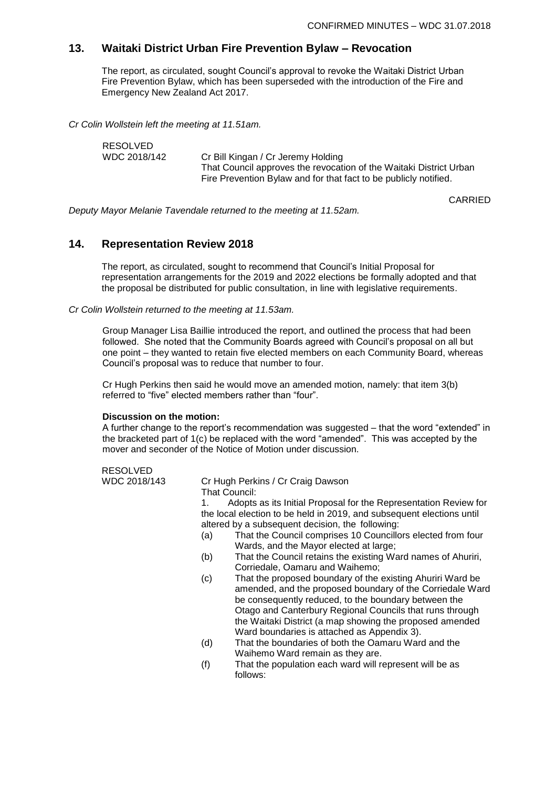CARRIED

### **13. Waitaki District Urban Fire Prevention Bylaw – Revocation**

The report, as circulated, sought Council's approval to revoke the Waitaki District Urban Fire Prevention Bylaw, which has been superseded with the introduction of the Fire and Emergency New Zealand Act 2017.

*Cr Colin Wollstein left the meeting at 11.51am.*

| RESOLVED     |                                                                    |
|--------------|--------------------------------------------------------------------|
| WDC 2018/142 | Cr Bill Kingan / Cr Jeremy Holding                                 |
|              | That Council approves the revocation of the Waitaki District Urban |
|              | Fire Prevention Bylaw and for that fact to be publicly notified.   |

*Deputy Mayor Melanie Tavendale returned to the meeting at 11.52am.*

### **14. Representation Review 2018**

The report, as circulated, sought to recommend that Council's Initial Proposal for representation arrangements for the 2019 and 2022 elections be formally adopted and that the proposal be distributed for public consultation, in line with legislative requirements.

*Cr Colin Wollstein returned to the meeting at 11.53am.*

Group Manager Lisa Baillie introduced the report, and outlined the process that had been followed. She noted that the Community Boards agreed with Council's proposal on all but one point – they wanted to retain five elected members on each Community Board, whereas Council's proposal was to reduce that number to four.

Cr Hugh Perkins then said he would move an amended motion, namely: that item 3(b) referred to "five" elected members rather than "four".

#### **Discussion on the motion:**

A further change to the report's recommendation was suggested – that the word "extended" in the bracketed part of 1(c) be replaced with the word "amended". This was accepted by the mover and seconder of the Notice of Motion under discussion.

RESOLVED

WDC 2018/143 Cr Hugh Perkins / Cr Craig Dawson

That Council:

1. Adopts as its Initial Proposal for the Representation Review for the local election to be held in 2019, and subsequent elections until altered by a subsequent decision, the following:

- (a) That the Council comprises 10 Councillors elected from four Wards, and the Mayor elected at large;
- (b) That the Council retains the existing Ward names of Ahuriri, Corriedale, Oamaru and Waihemo;
- (c) That the proposed boundary of the existing Ahuriri Ward be amended, and the proposed boundary of the Corriedale Ward be consequently reduced, to the boundary between the Otago and Canterbury Regional Councils that runs through the Waitaki District (a map showing the proposed amended Ward boundaries is attached as Appendix 3).
- (d) That the boundaries of both the Oamaru Ward and the Waihemo Ward remain as they are.
- (f) That the population each ward will represent will be as follows: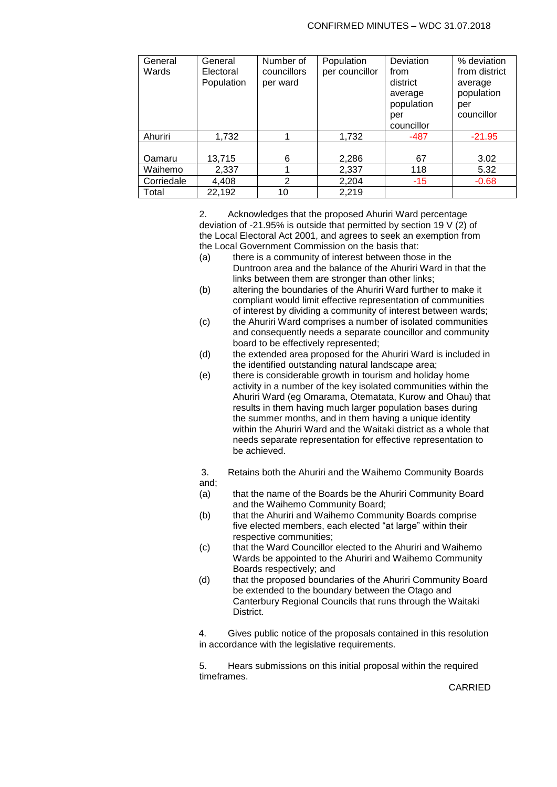| General<br>Wards | General<br>Electoral<br>Population | Number of<br>councillors<br>per ward | Population<br>per councillor | Deviation<br>from<br>district<br>average<br>population<br>per<br>councillor | % deviation<br>from district<br>average<br>population<br>per<br>councillor |
|------------------|------------------------------------|--------------------------------------|------------------------------|-----------------------------------------------------------------------------|----------------------------------------------------------------------------|
| Ahuriri          | 1.732                              |                                      | 1,732                        | -487                                                                        | $-21.95$                                                                   |
| Oamaru           | 13,715                             | 6                                    | 2,286                        | 67                                                                          | 3.02                                                                       |
| Waihemo          | 2,337                              |                                      | 2,337                        | 118                                                                         | 5.32                                                                       |
| Corriedale       | 4,408                              | $\overline{2}$                       | 2,204                        | $-15$                                                                       | $-0.68$                                                                    |
| Total            | 22,192                             | 10                                   | 2,219                        |                                                                             |                                                                            |

2. Acknowledges that the proposed Ahuriri Ward percentage deviation of -21.95% is outside that permitted by section 19 V (2) of the Local Electoral Act 2001, and agrees to seek an exemption from the Local Government Commission on the basis that:

- (a) there is a community of interest between those in the Duntroon area and the balance of the Ahuriri Ward in that the links between them are stronger than other links;
- (b) altering the boundaries of the Ahuriri Ward further to make it compliant would limit effective representation of communities of interest by dividing a community of interest between wards;
- (c) the Ahuriri Ward comprises a number of isolated communities and consequently needs a separate councillor and community board to be effectively represented;
- (d) the extended area proposed for the Ahuriri Ward is included in the identified outstanding natural landscape area;
- (e) there is considerable growth in tourism and holiday home activity in a number of the key isolated communities within the Ahuriri Ward (eg Omarama, Otematata, Kurow and Ohau) that results in them having much larger population bases during the summer months, and in them having a unique identity within the Ahuriri Ward and the Waitaki district as a whole that needs separate representation for effective representation to be achieved.

3. Retains both the Ahuriri and the Waihemo Community Boards and;

- (a) that the name of the Boards be the Ahuriri Community Board and the Waihemo Community Board;
- (b) that the Ahuriri and Waihemo Community Boards comprise five elected members, each elected "at large" within their respective communities;
- (c) that the Ward Councillor elected to the Ahuriri and Waihemo Wards be appointed to the Ahuriri and Waihemo Community Boards respectively; and
- (d) that the proposed boundaries of the Ahuriri Community Board be extended to the boundary between the Otago and Canterbury Regional Councils that runs through the Waitaki **District.**

4. Gives public notice of the proposals contained in this resolution in accordance with the legislative requirements.

5. Hears submissions on this initial proposal within the required timeframes.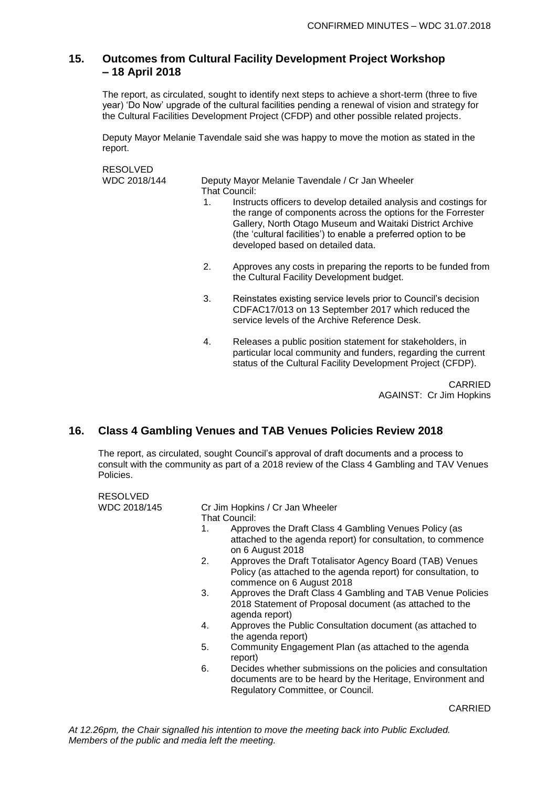### **15. Outcomes from Cultural Facility Development Project Workshop – 18 April 2018**

The report, as circulated, sought to identify next steps to achieve a short-term (three to five year) 'Do Now' upgrade of the cultural facilities pending a renewal of vision and strategy for the Cultural Facilities Development Project (CFDP) and other possible related projects.

Deputy Mayor Melanie Tavendale said she was happy to move the motion as stated in the report.

RESOLVED<br>WDC 2018/144

Deputy Mayor Melanie Tavendale / Cr Jan Wheeler That Council:

- 1. Instructs officers to develop detailed analysis and costings for the range of components across the options for the Forrester Gallery, North Otago Museum and Waitaki District Archive (the 'cultural facilities') to enable a preferred option to be developed based on detailed data.
- 2. Approves any costs in preparing the reports to be funded from the Cultural Facility Development budget.
- 3. Reinstates existing service levels prior to Council's decision CDFAC17/013 on 13 September 2017 which reduced the service levels of the Archive Reference Desk.
- 4. Releases a public position statement for stakeholders, in particular local community and funders, regarding the current status of the Cultural Facility Development Project (CFDP).

CARRIED AGAINST: Cr Jim Hopkins

## **16. Class 4 Gambling Venues and TAB Venues Policies Review 2018**

The report, as circulated, sought Council's approval of draft documents and a process to consult with the community as part of a 2018 review of the Class 4 Gambling and TAV Venues Policies.

| RESOLVED     |                                                                                                                                                                                                                                                                                                                                                                                                                                                                                                                                                                                                                                                                                                                                                               |
|--------------|---------------------------------------------------------------------------------------------------------------------------------------------------------------------------------------------------------------------------------------------------------------------------------------------------------------------------------------------------------------------------------------------------------------------------------------------------------------------------------------------------------------------------------------------------------------------------------------------------------------------------------------------------------------------------------------------------------------------------------------------------------------|
| WDC 2018/145 | Cr Jim Hopkins / Cr Jan Wheeler<br>That Council:<br>Approves the Draft Class 4 Gambling Venues Policy (as<br>1.<br>attached to the agenda report) for consultation, to commence<br>on 6 August 2018<br>Approves the Draft Totalisator Agency Board (TAB) Venues<br>2.<br>Policy (as attached to the agenda report) for consultation, to<br>commence on 6 August 2018<br>Approves the Draft Class 4 Gambling and TAB Venue Policies<br>3.<br>2018 Statement of Proposal document (as attached to the<br>agenda report)<br>Approves the Public Consultation document (as attached to<br>4.<br>the agenda report)<br>5.<br>Community Engagement Plan (as attached to the agenda<br>report)<br>6.<br>Decides whether submissions on the policies and consultation |
|              | documents are to be heard by the Heritage, Environment and<br>Regulatory Committee, or Council.                                                                                                                                                                                                                                                                                                                                                                                                                                                                                                                                                                                                                                                               |
|              |                                                                                                                                                                                                                                                                                                                                                                                                                                                                                                                                                                                                                                                                                                                                                               |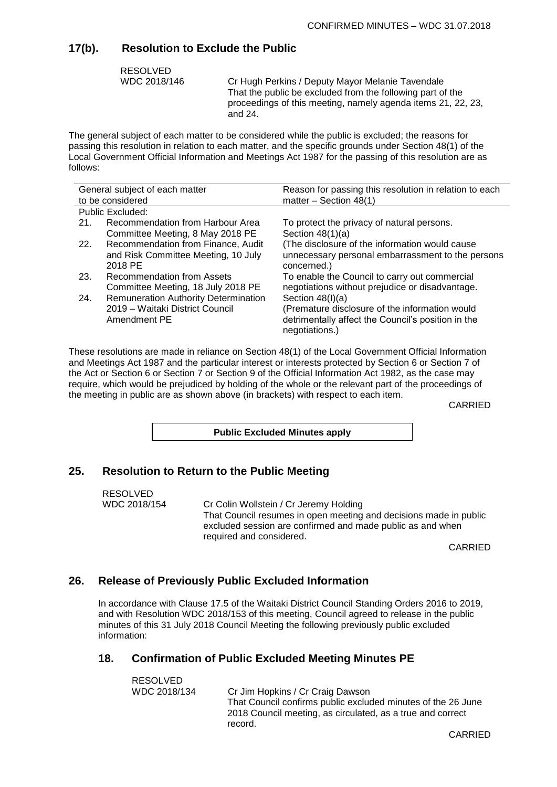### **17(b). Resolution to Exclude the Public**

RESOLVED

WDC 2018/146 Cr Hugh Perkins / Deputy Mayor Melanie Tavendale That the public be excluded from the following part of the proceedings of this meeting, namely agenda items 21, 22, 23, and 24.

The general subject of each matter to be considered while the public is excluded; the reasons for passing this resolution in relation to each matter, and the specific grounds under Section 48(1) of the Local Government Official Information and Meetings Act 1987 for the passing of this resolution are as follows:

| General subject of each matter |                                             | Reason for passing this resolution in relation to each |  |  |
|--------------------------------|---------------------------------------------|--------------------------------------------------------|--|--|
| to be considered               |                                             | matter $-$ Section 48(1)                               |  |  |
|                                | Public Excluded:                            |                                                        |  |  |
| 21.                            | Recommendation from Harbour Area            | To protect the privacy of natural persons.             |  |  |
|                                | Committee Meeting, 8 May 2018 PE            | Section $48(1)(a)$                                     |  |  |
| 22.                            | Recommendation from Finance, Audit          | (The disclosure of the information would cause)        |  |  |
|                                | and Risk Committee Meeting, 10 July         | unnecessary personal embarrassment to the persons      |  |  |
|                                | 2018 PE                                     | concerned.)                                            |  |  |
| 23.                            | Recommendation from Assets                  | To enable the Council to carry out commercial          |  |  |
|                                | Committee Meeting, 18 July 2018 PE          | negotiations without prejudice or disadvantage.        |  |  |
| 24.                            | <b>Remuneration Authority Determination</b> | Section $48(l)(a)$                                     |  |  |
|                                | 2019 – Waitaki District Council             | (Premature disclosure of the information would         |  |  |
|                                | Amendment PE                                | detrimentally affect the Council's position in the     |  |  |
|                                |                                             | negotiations.)                                         |  |  |
|                                |                                             |                                                        |  |  |

These resolutions are made in reliance on Section 48(1) of the Local Government Official Information and Meetings Act 1987 and the particular interest or interests protected by Section 6 or Section 7 of the Act or Section 6 or Section 7 or Section 9 of the Official Information Act 1982, as the case may require, which would be prejudiced by holding of the whole or the relevant part of the proceedings of the meeting in public are as shown above (in brackets) with respect to each item.

CARRIED

**Public Excluded Minutes apply**

### **25. Resolution to Return to the Public Meeting**

RESOLVED WDC 2018/154 Cr Colin Wollstein / Cr Jeremy Holding That Council resumes in open meeting and decisions made in public excluded session are confirmed and made public as and when required and considered.

CARRIED

### **26. Release of Previously Public Excluded Information**

In accordance with Clause 17.5 of the Waitaki District Council Standing Orders 2016 to 2019, and with Resolution WDC 2018/153 of this meeting, Council agreed to release in the public minutes of this 31 July 2018 Council Meeting the following previously public excluded information:

#### **18. Confirmation of Public Excluded Meeting Minutes PE**

| RESOLVED     |                                                              |
|--------------|--------------------------------------------------------------|
| WDC 2018/134 | Cr Jim Hopkins / Cr Craig Dawson                             |
|              | That Council confirms public excluded minutes of the 26 June |
|              | 2018 Council meeting, as circulated, as a true and correct   |
|              | record.                                                      |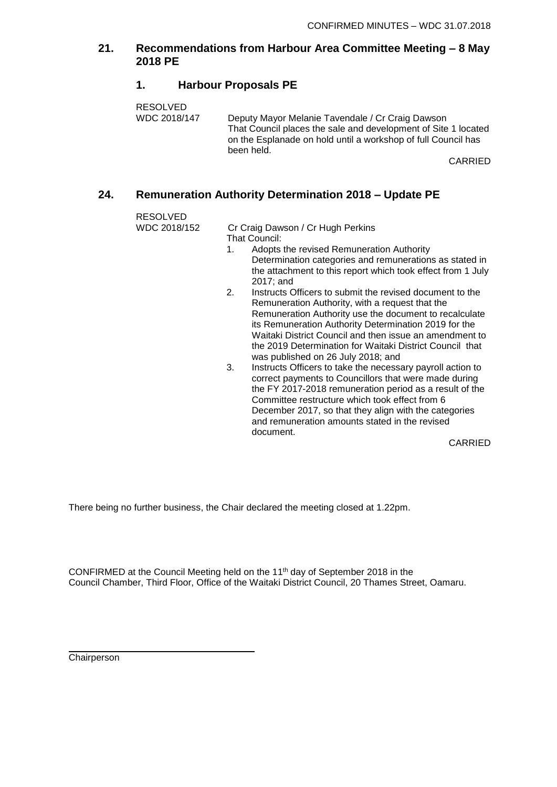### **21. Recommendations from Harbour Area Committee Meeting – 8 May 2018 PE**

### **1. Harbour Proposals PE**

RESOLVED WDC 2018/147 Deputy Mayor Melanie Tavendale / Cr Craig Dawson That Council places the sale and development of Site 1 located on the Esplanade on hold until a workshop of full Council has been held.

CARRIED

### **24. Remuneration Authority Determination 2018 – Update PE**

RESOLVED

WDC 2018/152 Cr Craig Dawson / Cr Hugh Perkins That Council:

- 1. Adopts the revised Remuneration Authority Determination categories and remunerations as stated in the attachment to this report which took effect from 1 July 2017; and
- 2. Instructs Officers to submit the revised document to the Remuneration Authority, with a request that the Remuneration Authority use the document to recalculate its Remuneration Authority Determination 2019 for the Waitaki District Council and then issue an amendment to the 2019 Determination for Waitaki District Council that was published on 26 July 2018; and
- 3. Instructs Officers to take the necessary payroll action to correct payments to Councillors that were made during the FY 2017-2018 remuneration period as a result of the Committee restructure which took effect from 6 December 2017, so that they align with the categories and remuneration amounts stated in the revised document.

CARRIED

There being no further business, the Chair declared the meeting closed at 1.22pm.

CONFIRMED at the Council Meeting held on the 11th day of September 2018 in the Council Chamber, Third Floor, Office of the Waitaki District Council, 20 Thames Street, Oamaru.

Chairperson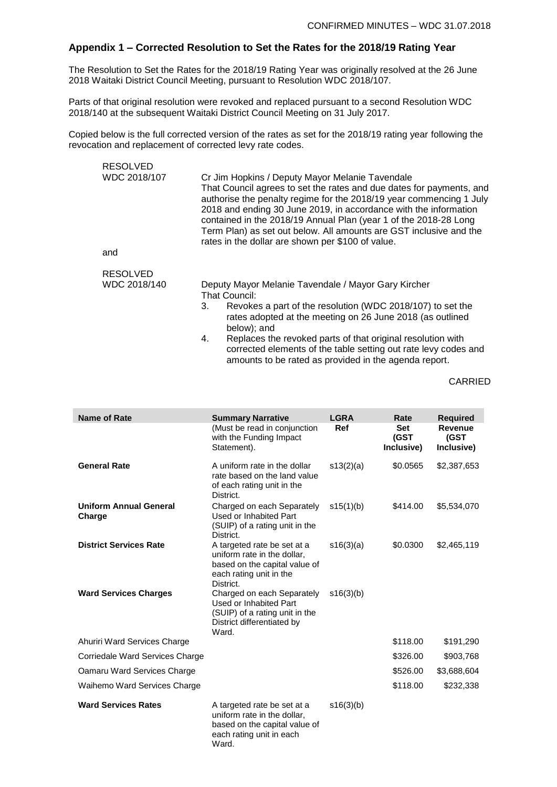### **Appendix 1 – Corrected Resolution to Set the Rates for the 2018/19 Rating Year**

The Resolution to Set the Rates for the 2018/19 Rating Year was originally resolved at the 26 June 2018 Waitaki District Council Meeting, pursuant to Resolution WDC 2018/107.

Parts of that original resolution were revoked and replaced pursuant to a second Resolution WDC 2018/140 at the subsequent Waitaki District Council Meeting on 31 July 2017.

Copied below is the full corrected version of the rates as set for the 2018/19 rating year following the revocation and replacement of corrected levy rate codes.

| <b>RESOLVED</b> |                                                                                                                                                                                                                                                                                                                                                                                                                                                                   |
|-----------------|-------------------------------------------------------------------------------------------------------------------------------------------------------------------------------------------------------------------------------------------------------------------------------------------------------------------------------------------------------------------------------------------------------------------------------------------------------------------|
| WDC 2018/107    | Cr Jim Hopkins / Deputy Mayor Melanie Tavendale<br>That Council agrees to set the rates and due dates for payments, and<br>authorise the penalty regime for the 2018/19 year commencing 1 July<br>2018 and ending 30 June 2019, in accordance with the information<br>contained in the 2018/19 Annual Plan (year 1 of the 2018-28 Long<br>Term Plan) as set out below. All amounts are GST inclusive and the<br>rates in the dollar are shown per \$100 of value. |
| and             |                                                                                                                                                                                                                                                                                                                                                                                                                                                                   |
| <b>RESOLVED</b> |                                                                                                                                                                                                                                                                                                                                                                                                                                                                   |
| WDC 2018/140    | Deputy Mayor Melanie Tavendale / Mayor Gary Kircher                                                                                                                                                                                                                                                                                                                                                                                                               |
|                 | That Council:                                                                                                                                                                                                                                                                                                                                                                                                                                                     |
|                 | Revokes a part of the resolution (WDC 2018/107) to set the<br>3.<br>rates adopted at the meeting on 26 June 2018 (as outlined<br>below); and                                                                                                                                                                                                                                                                                                                      |
|                 | Replaces the revoked parts of that original resolution with<br>4.                                                                                                                                                                                                                                                                                                                                                                                                 |

corrected elements of the table setting out rate levy codes and amounts to be rated as provided in the agenda report.

| <b>Name of Rate</b>                     | <b>Summary Narrative</b><br>(Must be read in conjunction<br>with the Funding Impact                                                 | <b>LGRA</b><br>Ref | Rate<br><b>Set</b><br>(GST | <b>Required</b><br><b>Revenue</b><br>(GST |
|-----------------------------------------|-------------------------------------------------------------------------------------------------------------------------------------|--------------------|----------------------------|-------------------------------------------|
|                                         | Statement).                                                                                                                         |                    | Inclusive)                 | Inclusive)                                |
| <b>General Rate</b>                     | A uniform rate in the dollar<br>rate based on the land value<br>of each rating unit in the<br>District.                             | s13(2)(a)          | \$0.0565                   | \$2,387,653                               |
| <b>Uniform Annual General</b><br>Charge | Charged on each Separately<br>Used or Inhabited Part<br>(SUIP) of a rating unit in the<br>District.                                 | s15(1)(b)          | \$414.00                   | \$5,534,070                               |
| <b>District Services Rate</b>           | A targeted rate be set at a<br>uniform rate in the dollar,<br>based on the capital value of<br>each rating unit in the<br>District. | s16(3)(a)          | \$0.0300                   | \$2,465,119                               |
| <b>Ward Services Charges</b>            | Charged on each Separately<br>Used or Inhabited Part<br>(SUIP) of a rating unit in the<br>District differentiated by<br>Ward.       | s16(3)(b)          |                            |                                           |
| Ahuriri Ward Services Charge            |                                                                                                                                     |                    | \$118.00                   | \$191,290                                 |
| Corriedale Ward Services Charge         |                                                                                                                                     |                    | \$326.00                   | \$903,768                                 |
| Oamaru Ward Services Charge             |                                                                                                                                     |                    | \$526.00                   | \$3,688,604                               |
| Waihemo Ward Services Charge            |                                                                                                                                     |                    | \$118.00                   | \$232,338                                 |
| <b>Ward Services Rates</b>              | A targeted rate be set at a<br>uniform rate in the dollar,<br>based on the capital value of<br>each rating unit in each<br>Ward.    | s16(3)(b)          |                            |                                           |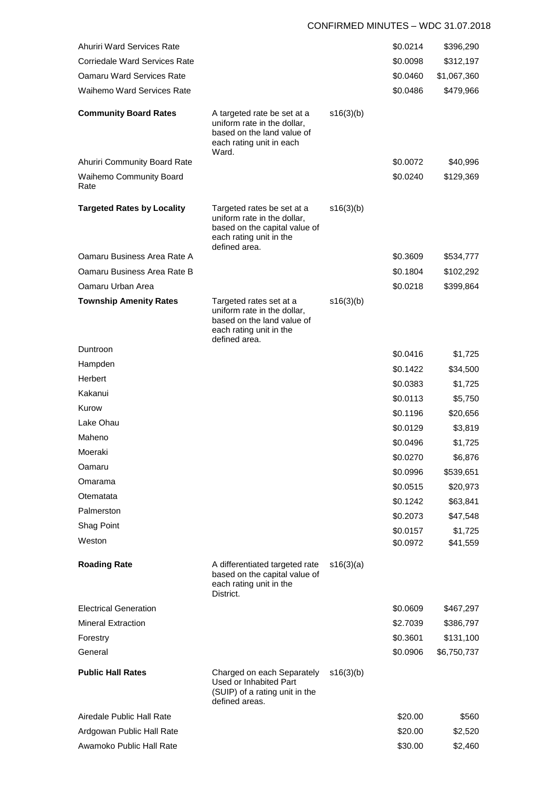#### CONFIRMED MINUTES – WDC 31.07.2018

| Ahuriri Ward Services Rate           |                                                                                                                                        |           | \$0.0214 | \$396,290   |
|--------------------------------------|----------------------------------------------------------------------------------------------------------------------------------------|-----------|----------|-------------|
| <b>Corriedale Ward Services Rate</b> |                                                                                                                                        |           | \$0.0098 | \$312,197   |
| <b>Oamaru Ward Services Rate</b>     |                                                                                                                                        |           | \$0.0460 | \$1,067,360 |
| <b>Waihemo Ward Services Rate</b>    |                                                                                                                                        |           | \$0.0486 | \$479,966   |
| <b>Community Board Rates</b>         | A targeted rate be set at a<br>uniform rate in the dollar,<br>based on the land value of<br>each rating unit in each<br>Ward.          | s16(3)(b) |          |             |
| Ahuriri Community Board Rate         |                                                                                                                                        |           | \$0.0072 | \$40,996    |
| Waihemo Community Board<br>Rate      |                                                                                                                                        |           | \$0.0240 | \$129,369   |
| <b>Targeted Rates by Locality</b>    | Targeted rates be set at a<br>uniform rate in the dollar,<br>based on the capital value of<br>each rating unit in the<br>defined area. | s16(3)(b) |          |             |
| Oamaru Business Area Rate A          |                                                                                                                                        |           | \$0.3609 | \$534,777   |
| Oamaru Business Area Rate B          |                                                                                                                                        |           | \$0.1804 | \$102,292   |
| Oamaru Urban Area                    |                                                                                                                                        |           | \$0.0218 | \$399,864   |
| <b>Township Amenity Rates</b>        | Targeted rates set at a<br>uniform rate in the dollar,<br>based on the land value of<br>each rating unit in the<br>defined area.       | s16(3)(b) |          |             |
| Duntroon                             |                                                                                                                                        |           | \$0.0416 | \$1,725     |
| Hampden                              |                                                                                                                                        |           | \$0.1422 | \$34,500    |
| Herbert                              |                                                                                                                                        |           | \$0.0383 | \$1,725     |
| Kakanui                              |                                                                                                                                        |           | \$0.0113 | \$5,750     |
| Kurow                                |                                                                                                                                        |           | \$0.1196 | \$20,656    |
| Lake Ohau                            |                                                                                                                                        |           | \$0.0129 | \$3,819     |
| Maheno                               |                                                                                                                                        |           | \$0.0496 | \$1,725     |
| Moeraki                              |                                                                                                                                        |           | \$0.0270 | \$6,876     |
| Oamaru                               |                                                                                                                                        |           | \$0.0996 | \$539,651   |
| Omarama                              |                                                                                                                                        |           | \$0.0515 | \$20,973    |
| Otematata                            |                                                                                                                                        |           | \$0.1242 | \$63,841    |
| Palmerston                           |                                                                                                                                        |           | \$0.2073 | \$47,548    |
| Shag Point                           |                                                                                                                                        |           | \$0.0157 | \$1,725     |
| Weston                               |                                                                                                                                        |           | \$0.0972 | \$41,559    |
| <b>Roading Rate</b>                  | A differentiated targeted rate<br>based on the capital value of<br>each rating unit in the<br>District.                                | s16(3)(a) |          |             |
| <b>Electrical Generation</b>         |                                                                                                                                        |           | \$0.0609 | \$467,297   |
| <b>Mineral Extraction</b>            |                                                                                                                                        |           | \$2.7039 | \$386,797   |
| Forestry                             |                                                                                                                                        |           | \$0.3601 | \$131,100   |
| General                              |                                                                                                                                        |           | \$0.0906 | \$6,750,737 |
| <b>Public Hall Rates</b>             | Charged on each Separately<br>Used or Inhabited Part<br>(SUIP) of a rating unit in the<br>defined areas.                               | s16(3)(b) |          |             |
| Airedale Public Hall Rate            |                                                                                                                                        |           | \$20.00  | \$560       |
| Ardgowan Public Hall Rate            |                                                                                                                                        |           | \$20.00  | \$2,520     |
| Awamoko Public Hall Rate             |                                                                                                                                        |           | \$30.00  | \$2,460     |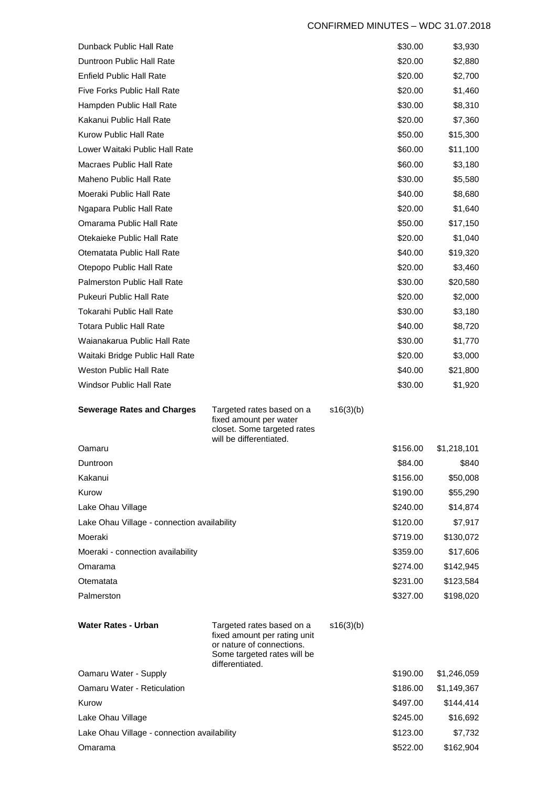#### CONFIRMED MINUTES – WDC 31.07.2018

| Dunback Public Hall Rate                             |                                                                                                                       |           | \$30.00  | \$3,930               |
|------------------------------------------------------|-----------------------------------------------------------------------------------------------------------------------|-----------|----------|-----------------------|
| Duntroon Public Hall Rate                            |                                                                                                                       |           | \$20.00  | \$2,880               |
| Enfield Public Hall Rate                             |                                                                                                                       |           | \$20.00  | \$2,700               |
| <b>Five Forks Public Hall Rate</b>                   |                                                                                                                       |           | \$20.00  | \$1,460               |
| Hampden Public Hall Rate                             |                                                                                                                       |           | \$30.00  | \$8,310               |
| Kakanui Public Hall Rate                             |                                                                                                                       |           | \$20.00  | \$7,360               |
| Kurow Public Hall Rate                               |                                                                                                                       |           | \$50.00  | \$15,300              |
| Lower Waitaki Public Hall Rate                       |                                                                                                                       |           | \$60.00  | \$11,100              |
| Macraes Public Hall Rate                             |                                                                                                                       |           | \$60.00  | \$3,180               |
| <b>Maheno Public Hall Rate</b>                       |                                                                                                                       |           | \$30.00  | \$5,580               |
| Moeraki Public Hall Rate                             |                                                                                                                       |           | \$40.00  | \$8,680               |
| Ngapara Public Hall Rate                             |                                                                                                                       |           | \$20.00  | \$1,640               |
| Omarama Public Hall Rate                             |                                                                                                                       |           | \$50.00  | \$17,150              |
| Otekaieke Public Hall Rate                           |                                                                                                                       |           | \$20.00  | \$1,040               |
| Otematata Public Hall Rate                           |                                                                                                                       |           | \$40.00  | \$19,320              |
| Otepopo Public Hall Rate                             |                                                                                                                       |           | \$20.00  | \$3,460               |
| <b>Palmerston Public Hall Rate</b>                   |                                                                                                                       |           | \$30.00  | \$20,580              |
| Pukeuri Public Hall Rate                             |                                                                                                                       |           | \$20.00  | \$2,000               |
| Tokarahi Public Hall Rate                            |                                                                                                                       |           | \$30.00  | \$3,180               |
| <b>Totara Public Hall Rate</b>                       |                                                                                                                       |           | \$40.00  | \$8,720               |
| Waianakarua Public Hall Rate                         |                                                                                                                       |           | \$30.00  | \$1,770               |
| Waitaki Bridge Public Hall Rate                      |                                                                                                                       |           | \$20.00  | \$3,000               |
| Weston Public Hall Rate                              |                                                                                                                       |           | \$40.00  | \$21,800              |
| <b>Windsor Public Hall Rate</b>                      |                                                                                                                       |           | \$30.00  | \$1,920               |
|                                                      |                                                                                                                       |           |          |                       |
| <b>Sewerage Rates and Charges</b>                    | Targeted rates based on a<br>fixed amount per water<br>closet. Some targeted rates                                    | s16(3)(b) |          |                       |
| Oamaru                                               | will be differentiated.                                                                                               |           | \$156.00 | \$1,218,101           |
| Duntroon                                             |                                                                                                                       |           | \$84.00  | \$840                 |
| Kakanui                                              |                                                                                                                       |           | \$156.00 | \$50,008              |
| Kurow                                                |                                                                                                                       |           | \$190.00 | \$55,290              |
| Lake Ohau Village                                    |                                                                                                                       |           | \$240.00 | \$14,874              |
| Lake Ohau Village - connection availability          |                                                                                                                       |           | \$120.00 | \$7,917               |
| Moeraki                                              |                                                                                                                       |           | \$719.00 | \$130,072             |
| Moeraki - connection availability                    |                                                                                                                       |           | \$359.00 | \$17,606              |
| Omarama                                              |                                                                                                                       |           | \$274.00 | \$142,945             |
| Otematata                                            |                                                                                                                       |           | \$231.00 | \$123,584             |
| Palmerston                                           |                                                                                                                       |           | \$327.00 | \$198,020             |
| Water Rates - Urban                                  | Targeted rates based on a<br>fixed amount per rating unit<br>or nature of connections.<br>Some targeted rates will be | s16(3)(b) |          |                       |
|                                                      | differentiated.                                                                                                       |           | \$190.00 |                       |
| Oamaru Water - Supply<br>Oamaru Water - Reticulation |                                                                                                                       |           | \$186.00 | \$1,246,059           |
| Kurow                                                |                                                                                                                       |           | \$497.00 | \$1,149,367           |
| Lake Ohau Village                                    |                                                                                                                       |           | \$245.00 | \$144,414<br>\$16,692 |
| Lake Ohau Village - connection availability          |                                                                                                                       |           | \$123.00 | \$7,732               |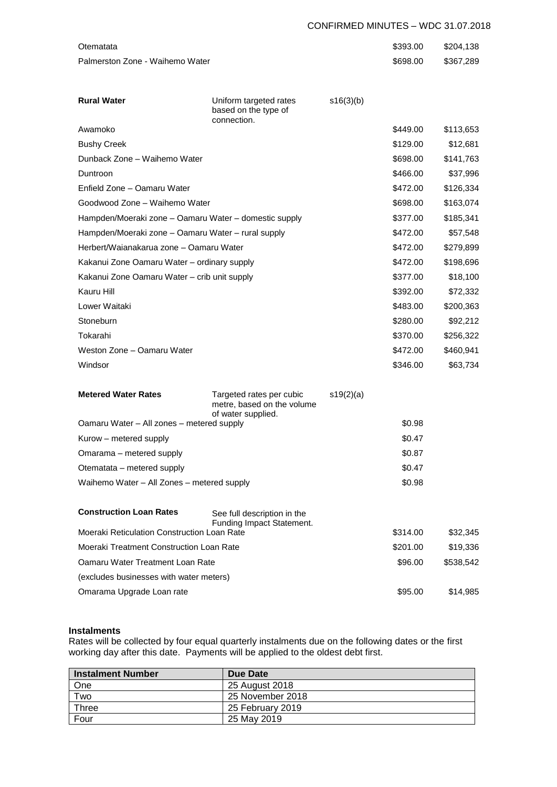#### CONFIRMED MINUTES – WDC 31.07.2018

| Otematata                                             |                                                          |           | \$393.00 | \$204,138 |
|-------------------------------------------------------|----------------------------------------------------------|-----------|----------|-----------|
| Palmerston Zone - Waihemo Water                       |                                                          |           | \$698.00 | \$367,289 |
|                                                       |                                                          |           |          |           |
|                                                       |                                                          |           |          |           |
| <b>Rural Water</b>                                    | Uniform targeted rates<br>based on the type of           | s16(3)(b) |          |           |
|                                                       | connection.                                              |           |          |           |
| Awamoko                                               |                                                          |           | \$449.00 | \$113,653 |
| <b>Bushy Creek</b>                                    |                                                          |           | \$129.00 | \$12,681  |
| Dunback Zone - Waihemo Water                          |                                                          |           | \$698.00 | \$141,763 |
| Duntroon                                              |                                                          |           | \$466.00 | \$37,996  |
| Enfield Zone - Oamaru Water                           |                                                          |           | \$472.00 | \$126,334 |
| Goodwood Zone - Waihemo Water                         |                                                          |           | \$698.00 | \$163,074 |
| Hampden/Moeraki zone - Oamaru Water - domestic supply |                                                          |           | \$377.00 | \$185,341 |
| Hampden/Moeraki zone - Oamaru Water - rural supply    |                                                          |           | \$472.00 | \$57,548  |
| Herbert/Waianakarua zone – Oamaru Water               |                                                          |           | \$472.00 | \$279,899 |
| Kakanui Zone Oamaru Water - ordinary supply           |                                                          |           | \$472.00 | \$198,696 |
| Kakanui Zone Oamaru Water - crib unit supply          |                                                          |           | \$377.00 | \$18,100  |
| Kauru Hill                                            |                                                          |           | \$392.00 | \$72,332  |
| Lower Waitaki                                         |                                                          |           | \$483.00 | \$200,363 |
| Stoneburn                                             |                                                          |           | \$280.00 | \$92,212  |
| Tokarahi                                              |                                                          |           | \$370.00 | \$256,322 |
| Weston Zone - Oamaru Water                            |                                                          |           | \$472.00 | \$460,941 |
| Windsor                                               |                                                          |           | \$346.00 | \$63,734  |
|                                                       |                                                          |           |          |           |
| <b>Metered Water Rates</b>                            | Targeted rates per cubic<br>metre, based on the volume   | s19(2)(a) |          |           |
| Oamaru Water - All zones - metered supply             | of water supplied.                                       |           | \$0.98   |           |
| Kurow – metered supply                                |                                                          |           | \$0.47   |           |
| Omarama – metered supply                              |                                                          |           | \$0.87   |           |
| Otematata - metered supply                            |                                                          |           | \$0.47   |           |
| Waihemo Water - All Zones - metered supply            |                                                          |           | \$0.98   |           |
|                                                       |                                                          |           |          |           |
| <b>Construction Loan Rates</b>                        | See full description in the<br>Funding Impact Statement. |           |          |           |
| Moeraki Reticulation Construction Loan Rate           |                                                          |           | \$314.00 | \$32,345  |
| Moeraki Treatment Construction Loan Rate              |                                                          |           | \$201.00 | \$19,336  |
| Oamaru Water Treatment Loan Rate                      |                                                          |           | \$96.00  | \$538,542 |
| (excludes businesses with water meters)               |                                                          |           |          |           |
| Omarama Upgrade Loan rate                             |                                                          |           | \$95.00  | \$14,985  |

#### **Instalments**

Rates will be collected by four equal quarterly instalments due on the following dates or the first working day after this date. Payments will be applied to the oldest debt first.

| <b>Instalment Number</b> | Due Date         |
|--------------------------|------------------|
| One                      | 25 August 2018   |
| Two                      | 25 November 2018 |
| Three                    | 25 February 2019 |
| Four                     | 25 May 2019      |